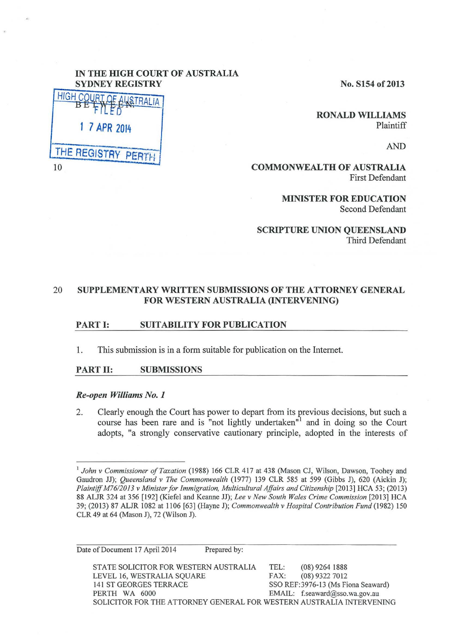# IN THE HIGH COURT OF AUSTRALIA

No. S154 of 2013

RONALD WILLIAMS Plaintiff

AND

COMMONWEALTH OF AUSTRALIA First Defendant

> MINISTER FOR EDUCATION Second Defendant

SCRIPTURE UNION QUEENSLAND Third Defendant

# 20 SUPPLEMENTARY WRITTEN SUBMISSIONS OF THE ATTORNEY GENERAL FOR WESTERN AUSTRALIA (INTERVENING)

## PART I: SUITABILITY FOR PUBLICATION

1. This submission is in a form suitable for publication on the Internet.

## PART II: SUBMISSIONS

### *Re-open Williams No. 1*

2. Clearly enough the Court has power to depart from its previous decisions, but such a course has been rare and is "not lightly undertaken" and in doing so the Court adopts, "a strongly conservative cautionary principle, adopted in the interests of

<sup>&</sup>lt;sup>1</sup> John v Commissioner of Taxation (1988) 166 CLR 417 at 438 (Mason CJ, Wilson, Dawson, Toohey and Gaudron JJ); *Queensland v The Commonwealth* (1977) 139 CLR 585 at 599 (Gibbs J), 620 (Aickin J); *Plaintiff M76/2013 v Minister for Immigration, Multicultural Affairs and Citizenship* [2013] HCA 53; (2013) 88 ALJR 324 at 356 [192] (Kiefel and Keanne JJ); *Lee v New South Wales Crime Commission* [2013] HCA 39; (2013) 87 ALJR 1082 at 11 06 [63] (Hayne J); *Commonwealth v Hospital Contribution Fund* (1982) 150 CLR 49 at 64 (Mason J), 72 (Wilson J).

| Date of Document 17 April 2014                                       | Prepared by: |                                     |  |
|----------------------------------------------------------------------|--------------|-------------------------------------|--|
| STATE SOLICITOR FOR WESTERN AUSTRALIA                                | TEL:         | $(08)$ 9264 1888                    |  |
| LEVEL 16, WESTRALIA SQUARE                                           | FAX:         | $(08)$ 9322 7012                    |  |
| <b>141 ST GEORGES TERRACE</b>                                        |              | SSO REF: 3976-13 (Ms Fiona Seaward) |  |
| PERTH WA 6000                                                        |              | EMAIL: f.seaward@sso.wa.gov.au      |  |
| SOLICITOR FOR THE ATTORNEY GENERAL FOR WESTERN AUSTRALIA INTERVENING |              |                                     |  |
|                                                                      |              |                                     |  |

| <b>SYDNEY REGISTRY</b>  |
|-------------------------|
| HIGH COURT OF ALSTRALIA |
| 1 7 APR 2014            |
| THE REGISTRY PERTH      |
| 10                      |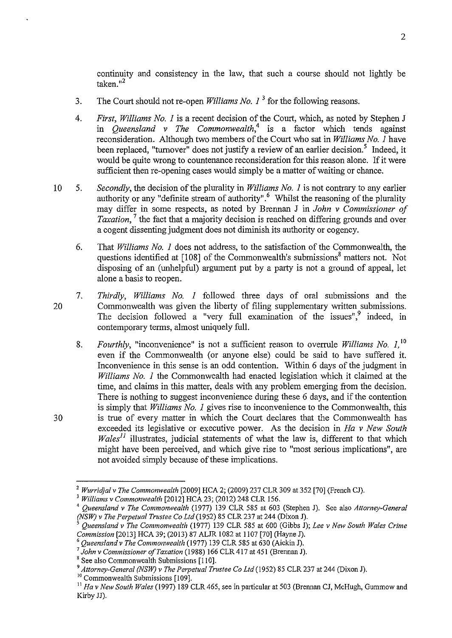continuity and consistency in the law, that such a course should not lightly be taken."<sup>2</sup>

- 3. The Court should not re-open *Williams No. I* 3 for the following reasons.
- 4. *First, Williams No. I* is a recent decision of the Court, which, as noted by Stephen J in *Queensland v The Commonwealth,<sup>4</sup>*is a factor which tends against reconsideration. Although two members of the Court who sat in *Williams No. I* have been replaced, "turnover" does not justify a review of an earlier decision.<sup>5</sup> Indeed, it would be quite wrong to countenance reconsideration for this reason alone. If it were sufficient then re-opening cases would simply be a matter of waiting or chance.
- 10 5. *Secondly,* the decision of the plurality in *Williams No. I* is not contrary to any earlier authority or any "definite stream of authority".<sup>6</sup> Whilst the reasoning of the plurality may differ in some respects, as noted by Brennan J in *John v Commissioner of Taxation*, <sup>7</sup> the fact that a majority decision is reached on differing grounds and over a cogent dissenting judgment does not diminish its authority or cogency.
	- 6. That *Williams No. I* does not address, to the satisfaction of the Commonwealth, the questions identified at  $[108]$  of the Commonwealth's submissions<sup>8</sup> matters not. Not disposing of an (unhelpful) argument put by a party is not a ground of appeal, let alone a basis to reopen.
	- 7. *Thirdly, Williams No. I* followed three days of oral submissions and the Commonwealth was given the liberty of filing supplementary written submissions. The decision followed a "very full examination of the issues", $9$  indeed, in contemporary terms, almost uniquely full.
		- 8. *Fourthly,* "inconvenience" is not a sufficient reason to overrule *Williams No. I,* <sup>10</sup> even if the Commonwealth (or anyone else) could be said to have suffered it. Inconvenience in this sense is an odd contention. Within 6 days of the judgment in *Williams No. 1* the Commonwealth had enacted legislation which it claimed at the time, and claims in this matter, deals with any problem emerging from the decision. There is nothing to suggest inconvenience during these 6 days, and if the contention is simply that *Williams No. I* gives rise to inconvenience to the Commonwealth, this is true of every matter in which the Court declares that the Commonwealth has exceeded its legislative or executive power. As the decision in *Ha v New South*   $Wales<sup>11</sup>$  illustrates, judicial statements of what the law is, different to that which might have been perceived, and which give rise to "most serious implications", are not avoided simply because of these implications.

30

20

<sup>&</sup>lt;sup>2</sup> Wurridjal v The Commonwealth [2009] HCA 2; (2009) 237 CLR 309 at 352 [70] (French CJ).<br><sup>3</sup> Williams v Commonwealth [2012] HCA 23; (2012) 248 CLR 156.<br><sup>4</sup> Queensland v The Commonwealth (1977) 139 CLR 585 at 603 (Stephe

*<sup>(</sup>NSW) v The Perpetual Trustee CoLtd(1952)* 85 CLR 237 at 244 (Dixon J).

*<sup>5</sup> Queensland v The Commonwealth* (1977) 139 CLR 585 at 600 (Gibbs J); *Lee v New South Wales Crime Commission* [2013] HCA 39; (2013) 87 ALJR 1082 at 1107 [70] (Hayne J).<br><sup>6</sup> Queensland v The Commonwealth (1977) 139 CLR 585 at 630 (Aickin J).<br><sup>7</sup> John v Commissioner of Taxation (1988) 166 CLR 417 at 451 (Brennan J).

<sup>&</sup>lt;sup>8</sup> See also Commonwealth Submissions [110].

<sup>&</sup>lt;sup>9</sup> Attorney-General (NSW) v The Perpetual Trustee Co Ltd (1952) 85 CLR 237 at 244 (Dixon J).<br><sup>10</sup> Commonwealth Submissions [109].

<sup>&</sup>lt;sup>11</sup> Ha v New South Wales (1997) 189 CLR 465, see in particular at 503 (Brennan CJ, McHugh, Gummow and Kirby JJ).